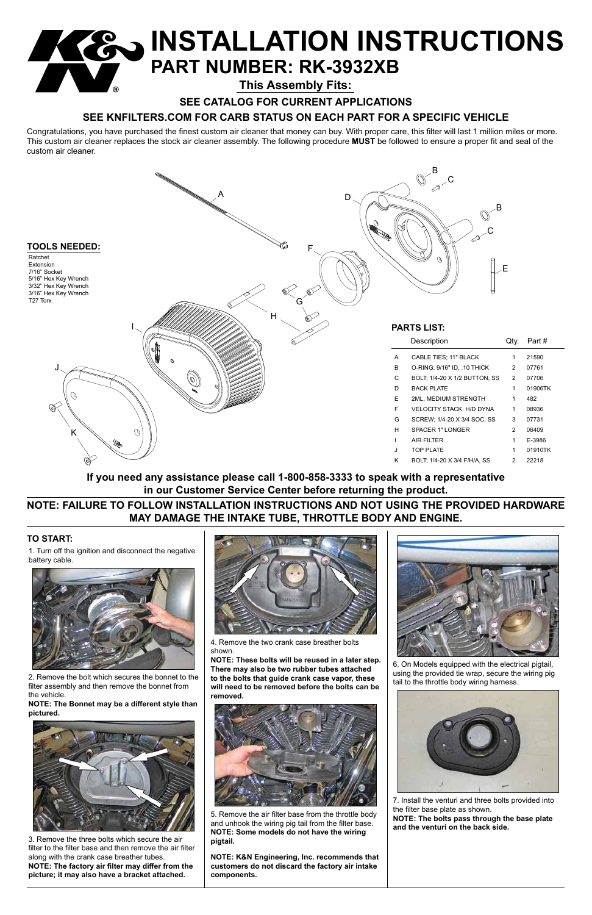Congratulations, you have purchased the finest custom air cleaner that money can buy. With proper care, this filter will last 1 million miles or more. This custom air cleaner replaces the stock air cleaner assembly. The following procedure **MUST** be followed to ensure a proper fit and seal of the custom air cleaner.

## **TO START:**

**NOTE: K&N Engineering, Inc. recommends that customers do not discard the factory air intake components.**



# **INSTALLATION INSTRUCTIONS PART NUMBER: RK-3932XB This Assembly Fits:**

**SEE CATALOG FOR CURRENT APPLICATIONS**

# **SEE KNFILTERS.COM FOR CARB STATUS ON EACH PART FOR A SPECIFIC VEHICLE**

1. Turn off the ignition and disconnect the negative battery cable.



2. Remove the bolt which secures the bonnet to the filter assembly and then remove the bonnet from the vehicle.

**NOTE: The Bonnet may be a different style than pictured.**



3. Remove the three bolts which secure the air filter to the filter base and then remove the air filter along with the crank case breather tubes. **NOTE: The factory air filter may differ from the picture; it may also have a bracket attached.**



4. Remove the two crank case breather bolts shown.

**NOTE: These bolts will be reused in a later step. There may also be two rubber tubes attached** 

**to the bolts that guide crank case vapor, these will need to be removed before the bolts can be removed.**



5. Remove the air filter base from the throttle body and unhook the wiring pig tail from the filter base. **NOTE: Some models do not have the wiring pigtail.**



6. On Models equipped with the electrical pigtail,

using the provided tie wrap, secure the wiring pig tail to the throttle body wiring harness.



7. Install the venturi and three bolts provided into the filter base plate as shown. **NOTE: The bolts pass through the base plate and the venturi on the back side.**

**NOTE: FAILURE TO FOLLOW INSTALLATION INSTRUCTIONS AND NOT USING THE PROVIDED HARDWARE MAY DAMAGE THE INTAKE TUBE, THROTTLE BODY AND ENGINE.**

**If you need any assistance please call 1-800-858-3333 to speak with a representative in our Customer Service Center before returning the product.**